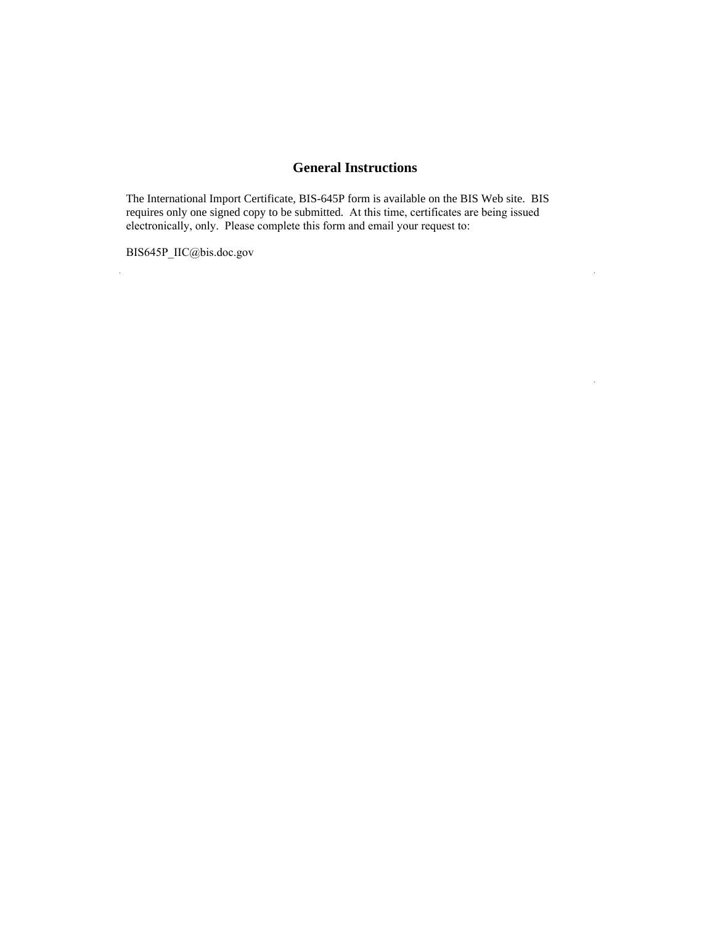# **General Instructions**

 $\bar{z}$ 

The International Import Certificate, BIS-645P form is available on the BIS Web site. BIS requires only one signed copy to be submitted. At this time, certificates are being issued electronically, only. Please complete this form and email your request to:

BIS645P\_IIC@bis.doc.gov

 $\ddot{\phantom{a}}$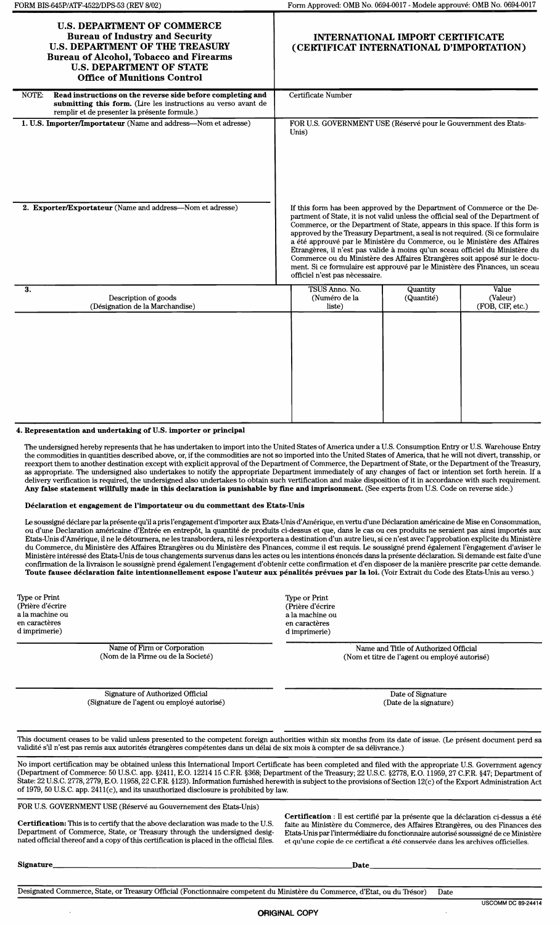| <b>U.S. DEPARTMENT OF COMMERCE</b><br><b>Bureau of Industry and Security</b><br><b>U.S. DEPARTMENT OF THE TREASURY</b><br><b>Bureau of Alcohol, Tobacco and Firearms</b><br><b>U.S. DEPARTMENT OF STATE</b><br><b>Office of Munitions Control</b> | INTERNATIONAL IMPORT CERTIFICATE<br>(CERTIFICAT INTERNATIONAL D'IMPORTATION)                                                                                                                                                                                                                                                                                                                                                                                                                                                                                                                                                                                                             |                        |                                       |
|---------------------------------------------------------------------------------------------------------------------------------------------------------------------------------------------------------------------------------------------------|------------------------------------------------------------------------------------------------------------------------------------------------------------------------------------------------------------------------------------------------------------------------------------------------------------------------------------------------------------------------------------------------------------------------------------------------------------------------------------------------------------------------------------------------------------------------------------------------------------------------------------------------------------------------------------------|------------------------|---------------------------------------|
| Read instructions on the reverse side before completing and<br>NOTE:<br>submitting this form. (Lire les instructions au verso avant de<br>remplir et de presenter la présente formule.)                                                           | Certificate Number                                                                                                                                                                                                                                                                                                                                                                                                                                                                                                                                                                                                                                                                       |                        |                                       |
| 1. U.S. Importer/Importateur (Name and address-Nom et adresse)<br>2. Exporter/Exportateur (Name and address-Nom et adresse)                                                                                                                       | FOR U.S. GOVERNMENT USE (Réservé pour le Gouvernment des Etats-<br>Unis)                                                                                                                                                                                                                                                                                                                                                                                                                                                                                                                                                                                                                 |                        |                                       |
|                                                                                                                                                                                                                                                   | If this form has been approved by the Department of Commerce or the De-<br>partment of State, it is not valid unless the official seal of the Department of<br>Commerce, or the Department of State, appears in this space. If this form is<br>approved by the Treasury Department, a seal is not required. (Si ce formulaire<br>a été approuvé par le Ministère du Commerce, ou le Ministère des Affaires<br>Etrangères, il n'est pas valide à moins qu'un sceau officiel du Ministère du<br>Commerce ou du Ministère des Affaires Etrangères soit apposé sur le docu-<br>ment. Si ce formulaire est approuvé par le Ministère des Finances, un sceau<br>officiel n'est pas nècessaire. |                        |                                       |
| 3.<br>Description of goods<br>(Désignation de la Marchandise)                                                                                                                                                                                     | TSUS Anno. No.<br>(Numéro de la<br>liste)                                                                                                                                                                                                                                                                                                                                                                                                                                                                                                                                                                                                                                                | Quantity<br>(Quantité) | Value<br>(Valeur)<br>(FOB, CIF, etc.) |
|                                                                                                                                                                                                                                                   |                                                                                                                                                                                                                                                                                                                                                                                                                                                                                                                                                                                                                                                                                          |                        |                                       |

### 4. Representation and undertaking of U.S. importer or principal

The undersigned hereby represents that he has undertaken to import into the United States of America under a U.S.Consumption Entry or U.S.Warehouse Entry the commodities in quantities described above, or, if the commodities are not so imported into the United States of America, that he will not divert, transship, or reexport them to another destination except with explicit approval of the Department of Commerce, the Department of State, or the Department of the Treasury, as appropriate. The undersigned also undertakes to notify the appropriate Department immediately of any changes of fact or intention set forth herein. If a delivery verification is required, the undersigned also undertakes to obtain such vertification and make disposition of it in accordance with such requirement. Any false statement willfully made in this declaration is punishable by fine and imprisonment. (See experts from U.S. Code on reverse side.)

Declaration et engagement de l'importateur ou du commettant des Etats-Unis

Le soussigné déclare par la présente qu'il a pris l'engagement d'importer aux Etats-Unis d'Amérique, en vertu d'une Déclaration américaine de Mise en Consommation, ou d'une Declaration americaine d'Entree en entrepot, la quantite de produits ci-dessus et que, dans le cas ou ces produits ne seraient pas ainsi importes aux Etats-Unis d'Amérique, il ne le détournera, ne les transbordera, ni les réexportera a destination d'un autre lieu, si ce n'est avec l'approbation explicite du Ministère<br>du Commerce, du Ministère des Affaires Etrangères ou Ministère intéressé des Etats-Unis de tous changements survenus dans les actes ou les intentions énoncés dans la présente déclaration. Si demande est faite d'une confirmation de la livraison le soussignè prend également l'engagement d'obtenir cette confirmation et d'en disposer de la manière prescrite par cette demande Toute fausee declaration faite intentionnellement espose 1'auteur aux penalites prevues par la loi. (Voir Extrait du Code des Etats-Unis au verso.)

Type or Print (Priere d'ecrire a la machine ou en caractères d imprimerie)

> Name of Firm or Corporation (Nom de la Finne ou de la Societe)

Signature of Authorized Official (Signature de l'agent ou employé autorisé)

Narne and TItle of Authorized Official (Nom et titre de l'agent ou employé autorisé)

> Date of Signature (Date de la signature)

This document ceases to be valid unless presented to the competent foreign authorities within six months from its date of issue. (Le present document perd sa validité s'il n'est pas remis aux autorités étrangères compétentes dans un délai de six mois à compter de sa délivrance.)

No import certification may be obtained unless this International Import Certificate has been completed and filed with the appropriate U.S. Government agency (Department of Commerce: 50 U.S.C. app. §2411, E.O. 1221415 C.ER. §368; Department of the Treasury; 22 U.S.C. §2778, E.O. 11959,27 C.ER. §47; Department of State: 22 U.S.C.2778, 2779, E.O. 11958,22 C.ER. §123).Information furnished herewith is subject to the provisions of Section 12(c) of the Export Administration Act of 1979,50 U.S.C. app. 2411(c), and its unauthorized disclosure is prohibited by law.

FOR U.S. GOVERNMENT USE (Réservé au Gouvernement des Etats-Unis)

Certification: This is to certify that the above declaration was made to the U.S. Department of Commerce, State, or Treasury through the undersigned designated official thereof and a copy of this certification is placed in the official files.

Certification : Il est certifié par la présente que la déclaration ci-dessus a été faite au Ministere du Conunerce, des Affaires Etrangeres, ou des Finances des Etats-Unis par l'intermediaire du fonctionnaire autorise sousssigne de ce Ministere et qu'une copie de ce certificat a été conservée dans les archives officielles.

Signature Date \_

Designated Commerce, State, or Treasury Official (Fonctionnaire competent du Ministere du Commerce, d'Etat, ou du Tresor) Date

Type or Print (Prière d'écrire a la machine ou en caractères d imprimerie)